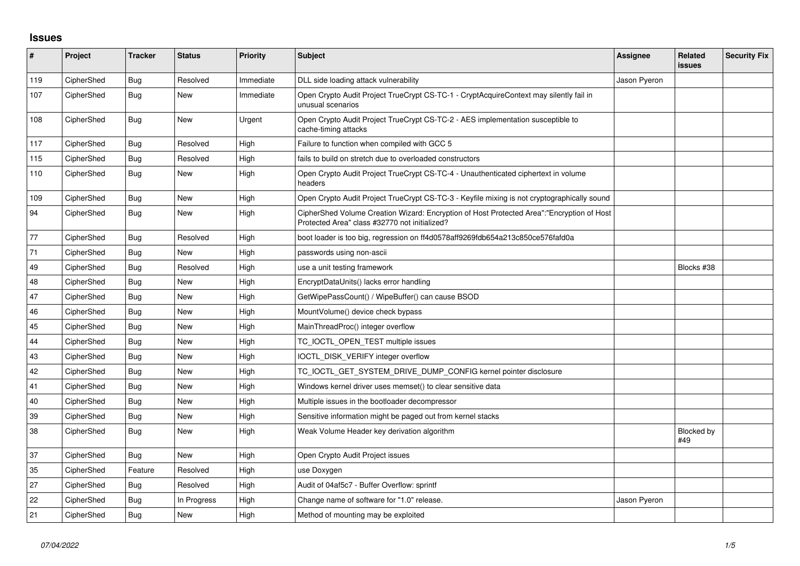## **Issues**

| #   | Project    | <b>Tracker</b> | <b>Status</b> | <b>Priority</b> | <b>Subject</b>                                                                                                                             | Assignee     | Related<br><b>issues</b> | <b>Security Fix</b> |
|-----|------------|----------------|---------------|-----------------|--------------------------------------------------------------------------------------------------------------------------------------------|--------------|--------------------------|---------------------|
| 119 | CipherShed | <b>Bug</b>     | Resolved      | Immediate       | DLL side loading attack vulnerability                                                                                                      | Jason Pyeron |                          |                     |
| 107 | CipherShed | <b>Bug</b>     | New           | Immediate       | Open Crypto Audit Project TrueCrypt CS-TC-1 - CryptAcquireContext may silently fail in<br>unusual scenarios                                |              |                          |                     |
| 108 | CipherShed | <b>Bug</b>     | New           | Urgent          | Open Crypto Audit Project TrueCrypt CS-TC-2 - AES implementation susceptible to<br>cache-timing attacks                                    |              |                          |                     |
| 117 | CipherShed | <b>Bug</b>     | Resolved      | High            | Failure to function when compiled with GCC 5                                                                                               |              |                          |                     |
| 115 | CipherShed | Bug            | Resolved      | High            | fails to build on stretch due to overloaded constructors                                                                                   |              |                          |                     |
| 110 | CipherShed | Bug            | <b>New</b>    | High            | Open Crypto Audit Project TrueCrypt CS-TC-4 - Unauthenticated ciphertext in volume<br>headers                                              |              |                          |                     |
| 109 | CipherShed | Bug            | <b>New</b>    | High            | Open Crypto Audit Project TrueCrypt CS-TC-3 - Keyfile mixing is not cryptographically sound                                                |              |                          |                     |
| 94  | CipherShed | Bug            | <b>New</b>    | High            | CipherShed Volume Creation Wizard: Encryption of Host Protected Area":"Encryption of Host<br>Protected Area" class #32770 not initialized? |              |                          |                     |
| 77  | CipherShed | Bug            | Resolved      | High            | boot loader is too big, regression on ff4d0578aff9269fdb654a213c850ce576fafd0a                                                             |              |                          |                     |
| 71  | CipherShed | Bug            | <b>New</b>    | High            | passwords using non-ascii                                                                                                                  |              |                          |                     |
| 49  | CipherShed | <b>Bug</b>     | Resolved      | High            | use a unit testing framework                                                                                                               |              | Blocks #38               |                     |
| 48  | CipherShed | Bug            | <b>New</b>    | High            | EncryptDataUnits() lacks error handling                                                                                                    |              |                          |                     |
| 47  | CipherShed | <b>Bug</b>     | <b>New</b>    | High            | GetWipePassCount() / WipeBuffer() can cause BSOD                                                                                           |              |                          |                     |
| 46  | CipherShed | <b>Bug</b>     | <b>New</b>    | High            | MountVolume() device check bypass                                                                                                          |              |                          |                     |
| 45  | CipherShed | Bug            | <b>New</b>    | High            | MainThreadProc() integer overflow                                                                                                          |              |                          |                     |
| 44  | CipherShed | <b>Bug</b>     | <b>New</b>    | High            | TC IOCTL OPEN TEST multiple issues                                                                                                         |              |                          |                     |
| 43  | CipherShed | Bug            | <b>New</b>    | High            | IOCTL DISK VERIFY integer overflow                                                                                                         |              |                          |                     |
| 42  | CipherShed | <b>Bug</b>     | <b>New</b>    | High            | TC_IOCTL_GET_SYSTEM_DRIVE_DUMP_CONFIG kernel pointer disclosure                                                                            |              |                          |                     |
| 41  | CipherShed | Bug            | <b>New</b>    | High            | Windows kernel driver uses memset() to clear sensitive data                                                                                |              |                          |                     |
| 40  | CipherShed | <b>Bug</b>     | <b>New</b>    | High            | Multiple issues in the bootloader decompressor                                                                                             |              |                          |                     |
| 39  | CipherShed | <b>Bug</b>     | New           | High            | Sensitive information might be paged out from kernel stacks                                                                                |              |                          |                     |
| 38  | CipherShed | <b>Bug</b>     | <b>New</b>    | High            | Weak Volume Header key derivation algorithm                                                                                                |              | Blocked by<br>#49        |                     |
| 37  | CipherShed | <b>Bug</b>     | <b>New</b>    | High            | Open Crypto Audit Project issues                                                                                                           |              |                          |                     |
| 35  | CipherShed | Feature        | Resolved      | High            | use Doxygen                                                                                                                                |              |                          |                     |
| 27  | CipherShed | Bug            | Resolved      | High            | Audit of 04af5c7 - Buffer Overflow: sprintf                                                                                                |              |                          |                     |
| 22  | CipherShed | Bug            | In Progress   | High            | Change name of software for "1.0" release.                                                                                                 | Jason Pyeron |                          |                     |
| 21  | CipherShed | Bug            | New           | High            | Method of mounting may be exploited                                                                                                        |              |                          |                     |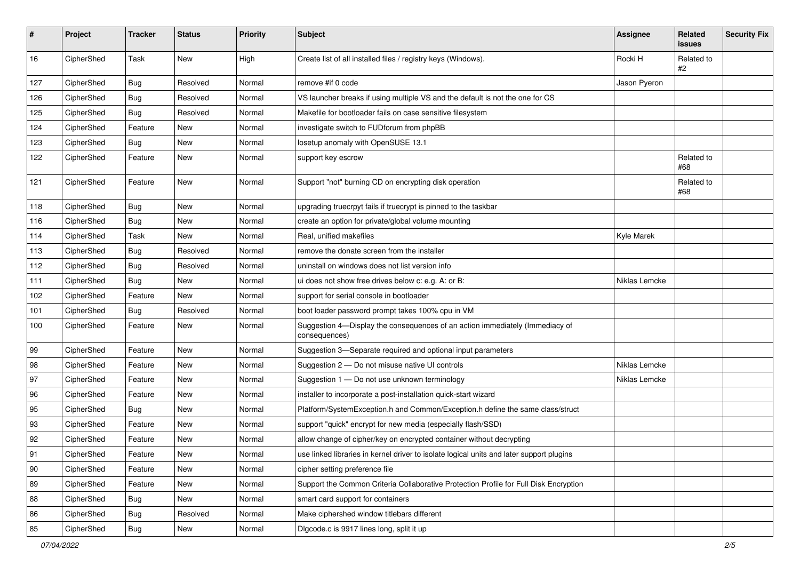| #            | Project    | <b>Tracker</b> | <b>Status</b> | Priority | <b>Subject</b>                                                                                | Assignee      | Related<br>issues | <b>Security Fix</b> |
|--------------|------------|----------------|---------------|----------|-----------------------------------------------------------------------------------------------|---------------|-------------------|---------------------|
| 16           | CipherShed | Task           | New           | High     | Create list of all installed files / registry keys (Windows).                                 | Rocki H       | Related to<br>#2  |                     |
| 127          | CipherShed | <b>Bug</b>     | Resolved      | Normal   | remove #if 0 code                                                                             | Jason Pyeron  |                   |                     |
| 126          | CipherShed | <b>Bug</b>     | Resolved      | Normal   | VS launcher breaks if using multiple VS and the default is not the one for CS                 |               |                   |                     |
| 125          | CipherShed | <b>Bug</b>     | Resolved      | Normal   | Makefile for bootloader fails on case sensitive filesystem                                    |               |                   |                     |
| 124          | CipherShed | Feature        | New           | Normal   | investigate switch to FUDforum from phpBB                                                     |               |                   |                     |
| 123          | CipherShed | Bug            | New           | Normal   | losetup anomaly with OpenSUSE 13.1                                                            |               |                   |                     |
| 122          | CipherShed | Feature        | New           | Normal   | support key escrow                                                                            |               | Related to<br>#68 |                     |
| 121          | CipherShed | Feature        | New           | Normal   | Support "not" burning CD on encrypting disk operation                                         |               | Related to<br>#68 |                     |
| 118          | CipherShed | <b>Bug</b>     | New           | Normal   | upgrading truecrpyt fails if truecrypt is pinned to the taskbar                               |               |                   |                     |
| 116          | CipherShed | <b>Bug</b>     | New           | Normal   | create an option for private/global volume mounting                                           |               |                   |                     |
| 114          | CipherShed | Task           | New           | Normal   | Real, unified makefiles                                                                       | Kyle Marek    |                   |                     |
| 113          | CipherShed | <b>Bug</b>     | Resolved      | Normal   | remove the donate screen from the installer                                                   |               |                   |                     |
| 112          | CipherShed | <b>Bug</b>     | Resolved      | Normal   | uninstall on windows does not list version info                                               |               |                   |                     |
| 111          | CipherShed | <b>Bug</b>     | New           | Normal   | ui does not show free drives below c: e.g. A: or B:                                           | Niklas Lemcke |                   |                     |
| 102          | CipherShed | Feature        | New           | Normal   | support for serial console in bootloader                                                      |               |                   |                     |
| 101          | CipherShed | Bug            | Resolved      | Normal   | boot loader password prompt takes 100% cpu in VM                                              |               |                   |                     |
| 100          | CipherShed | Feature        | New           | Normal   | Suggestion 4-Display the consequences of an action immediately (Immediacy of<br>consequences) |               |                   |                     |
| 99           | CipherShed | Feature        | New           | Normal   | Suggestion 3-Separate required and optional input parameters                                  |               |                   |                     |
| 98           | CipherShed | Feature        | New           | Normal   | Suggestion 2 - Do not misuse native UI controls                                               | Niklas Lemcke |                   |                     |
| 97           | CipherShed | Feature        | New           | Normal   | Suggestion 1 - Do not use unknown terminology                                                 | Niklas Lemcke |                   |                     |
| 96           | CipherShed | Feature        | New           | Normal   | installer to incorporate a post-installation quick-start wizard                               |               |                   |                     |
| 95           | CipherShed | Bug            | New           | Normal   | Platform/SystemException.h and Common/Exception.h define the same class/struct                |               |                   |                     |
| 93           | CipherShed | Feature        | New           | Normal   | support "quick" encrypt for new media (especially flash/SSD)                                  |               |                   |                     |
| 92           | CipherShed | Feature        | New           | Normal   | allow change of cipher/key on encrypted container without decrypting                          |               |                   |                     |
| 91           | CipherShed | Feature        | New           | Normal   | use linked libraries in kernel driver to isolate logical units and later support plugins      |               |                   |                     |
| $ 90\rangle$ | CipherShed | Feature        | New           | Normal   | cipher setting preference file                                                                |               |                   |                     |
| 89           | CipherShed | Feature        | New           | Normal   | Support the Common Criteria Collaborative Protection Profile for Full Disk Encryption         |               |                   |                     |
| 88           | CipherShed | <b>Bug</b>     | New           | Normal   | smart card support for containers                                                             |               |                   |                     |
| 86           | CipherShed | Bug            | Resolved      | Normal   | Make ciphershed window titlebars different                                                    |               |                   |                     |
| 85           | CipherShed | Bug            | New           | Normal   | Digcode.c is 9917 lines long, split it up                                                     |               |                   |                     |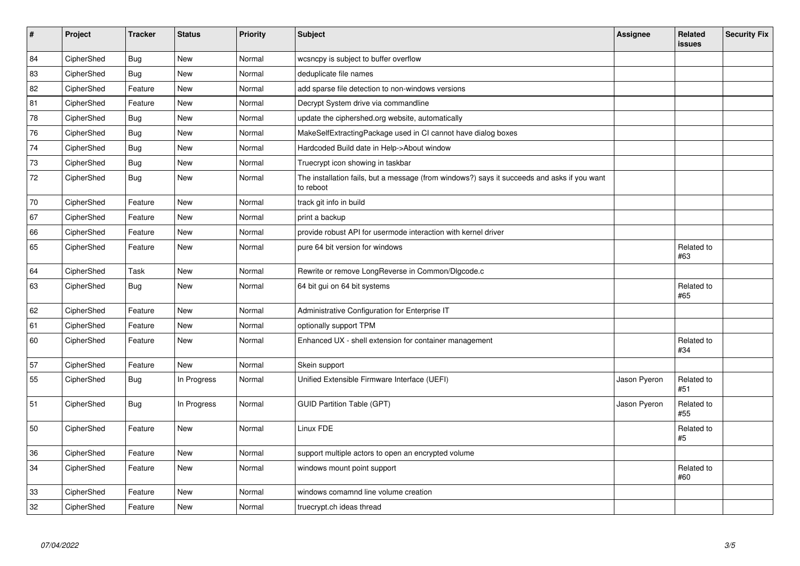| Project    | <b>Tracker</b> | <b>Status</b> | <b>Priority</b> | <b>Subject</b>                                                                                           | <b>Assignee</b> | Related<br><b>issues</b> | <b>Security Fix</b> |
|------------|----------------|---------------|-----------------|----------------------------------------------------------------------------------------------------------|-----------------|--------------------------|---------------------|
| CipherShed | <b>Bug</b>     | <b>New</b>    | Normal          | wcsncpy is subject to buffer overflow                                                                    |                 |                          |                     |
| CipherShed | <b>Bug</b>     | New           | Normal          | deduplicate file names                                                                                   |                 |                          |                     |
| CipherShed | Feature        | New           | Normal          | add sparse file detection to non-windows versions                                                        |                 |                          |                     |
| CipherShed | Feature        | <b>New</b>    | Normal          | Decrypt System drive via commandline                                                                     |                 |                          |                     |
| CipherShed | <b>Bug</b>     | <b>New</b>    | Normal          | update the ciphershed.org website, automatically                                                         |                 |                          |                     |
| CipherShed | <b>Bug</b>     | <b>New</b>    | Normal          | MakeSelfExtractingPackage used in CI cannot have dialog boxes                                            |                 |                          |                     |
| CipherShed | <b>Bug</b>     | <b>New</b>    | Normal          | Hardcoded Build date in Help->About window                                                               |                 |                          |                     |
| CipherShed | <b>Bug</b>     | New           | Normal          | Truecrypt icon showing in taskbar                                                                        |                 |                          |                     |
| CipherShed | <b>Bug</b>     | New           | Normal          | The installation fails, but a message (from windows?) says it succeeds and asks if you want<br>to reboot |                 |                          |                     |
| CipherShed | Feature        | <b>New</b>    | Normal          | track git info in build                                                                                  |                 |                          |                     |
| CipherShed | Feature        | New           | Normal          | print a backup                                                                                           |                 |                          |                     |
| CipherShed | Feature        | New           | Normal          | provide robust API for usermode interaction with kernel driver                                           |                 |                          |                     |
| CipherShed | Feature        | New           | Normal          | pure 64 bit version for windows                                                                          |                 | Related to<br>#63        |                     |
| CipherShed | Task           | <b>New</b>    | Normal          | Rewrite or remove LongReverse in Common/Dlgcode.c                                                        |                 |                          |                     |
| CipherShed | <b>Bug</b>     | New           | Normal          | 64 bit gui on 64 bit systems                                                                             |                 | Related to<br>#65        |                     |
| CipherShed | Feature        | <b>New</b>    | Normal          | Administrative Configuration for Enterprise IT                                                           |                 |                          |                     |
| CipherShed | Feature        | New           | Normal          | optionally support TPM                                                                                   |                 |                          |                     |
| CipherShed | Feature        | New           | Normal          | Enhanced UX - shell extension for container management                                                   |                 | Related to<br>#34        |                     |
| CipherShed | Feature        | New           | Normal          | Skein support                                                                                            |                 |                          |                     |
| CipherShed | Bug            | In Progress   | Normal          | Unified Extensible Firmware Interface (UEFI)                                                             | Jason Pyeron    | Related to<br>#51        |                     |
| CipherShed | <b>Bug</b>     | In Progress   | Normal          | <b>GUID Partition Table (GPT)</b>                                                                        | Jason Pyeron    | Related to<br>#55        |                     |
| CipherShed | Feature        | <b>New</b>    | Normal          | Linux FDE                                                                                                |                 | Related to<br>#5         |                     |
| CipherShed | Feature        | <b>New</b>    | Normal          | support multiple actors to open an encrypted volume                                                      |                 |                          |                     |
| CipherShed | Feature        | New           | Normal          | windows mount point support                                                                              |                 | Related to<br>#60        |                     |
| CipherShed | Feature        | New           | Normal          | windows comamnd line volume creation                                                                     |                 |                          |                     |
| CipherShed | Feature        | <b>New</b>    | Normal          | truecrypt.ch ideas thread                                                                                |                 |                          |                     |
|            |                |               |                 |                                                                                                          |                 |                          |                     |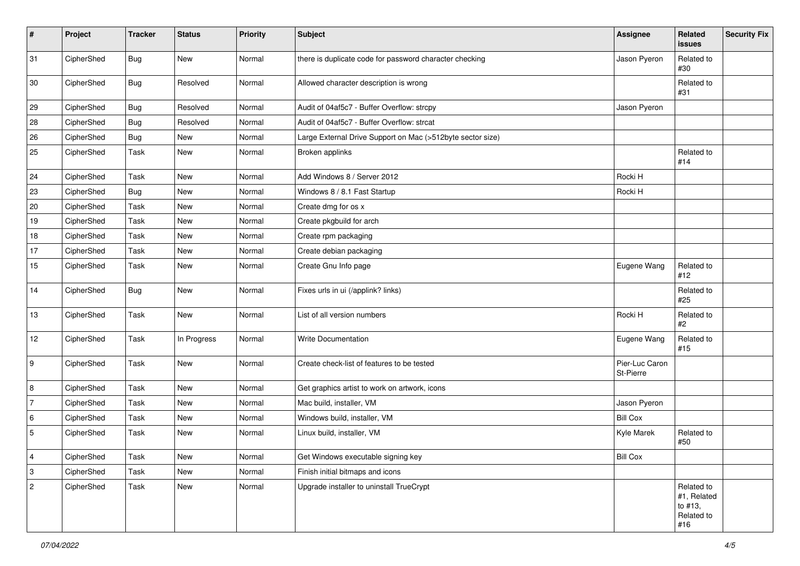| $\pmb{\#}$                | Project    | <b>Tracker</b> | <b>Status</b> | Priority | <b>Subject</b>                                             | <b>Assignee</b>             | Related<br>issues                                         | <b>Security Fix</b> |
|---------------------------|------------|----------------|---------------|----------|------------------------------------------------------------|-----------------------------|-----------------------------------------------------------|---------------------|
| 31                        | CipherShed | <b>Bug</b>     | New           | Normal   | there is duplicate code for password character checking    | Jason Pyeron                | Related to<br>#30                                         |                     |
| 30                        | CipherShed | <b>Bug</b>     | Resolved      | Normal   | Allowed character description is wrong                     |                             | Related to<br>#31                                         |                     |
| 29                        | CipherShed | Bug            | Resolved      | Normal   | Audit of 04af5c7 - Buffer Overflow: strcpy                 | Jason Pyeron                |                                                           |                     |
| 28                        | CipherShed | <b>Bug</b>     | Resolved      | Normal   | Audit of 04af5c7 - Buffer Overflow: strcat                 |                             |                                                           |                     |
| 26                        | CipherShed | <b>Bug</b>     | New           | Normal   | Large External Drive Support on Mac (>512byte sector size) |                             |                                                           |                     |
| 25                        | CipherShed | Task           | New           | Normal   | Broken applinks                                            |                             | Related to<br>#14                                         |                     |
| 24                        | CipherShed | Task           | New           | Normal   | Add Windows 8 / Server 2012                                | Rocki H                     |                                                           |                     |
| 23                        | CipherShed | <b>Bug</b>     | New           | Normal   | Windows 8 / 8.1 Fast Startup                               | Rocki H                     |                                                           |                     |
| 20                        | CipherShed | Task           | New           | Normal   | Create dmg for os x                                        |                             |                                                           |                     |
| 19                        | CipherShed | Task           | New           | Normal   | Create pkgbuild for arch                                   |                             |                                                           |                     |
| 18                        | CipherShed | Task           | New           | Normal   | Create rpm packaging                                       |                             |                                                           |                     |
| $17$                      | CipherShed | Task           | New           | Normal   | Create debian packaging                                    |                             |                                                           |                     |
| 15                        | CipherShed | Task           | New           | Normal   | Create Gnu Info page                                       | Eugene Wang                 | Related to<br>#12                                         |                     |
| 14                        | CipherShed | Bug            | New           | Normal   | Fixes urls in ui (/applink? links)                         |                             | Related to<br>#25                                         |                     |
| 13                        | CipherShed | Task           | New           | Normal   | List of all version numbers                                | Rocki H                     | Related to<br>#2                                          |                     |
| 12                        | CipherShed | Task           | In Progress   | Normal   | Write Documentation                                        | Eugene Wang                 | Related to<br>#15                                         |                     |
| 9                         | CipherShed | Task           | New           | Normal   | Create check-list of features to be tested                 | Pier-Luc Caron<br>St-Pierre |                                                           |                     |
| 8                         | CipherShed | Task           | New           | Normal   | Get graphics artist to work on artwork, icons              |                             |                                                           |                     |
| $\overline{7}$            | CipherShed | Task           | New           | Normal   | Mac build, installer, VM                                   | Jason Pyeron                |                                                           |                     |
| 6                         | CipherShed | Task           | New           | Normal   | Windows build, installer, VM                               | <b>Bill Cox</b>             |                                                           |                     |
| 5                         | CipherShed | Task           | New           | Normal   | Linux build, installer, VM                                 | Kyle Marek                  | Related to<br>#50                                         |                     |
| $\vert$ 4                 | CipherShed | Task           | New           | Normal   | Get Windows executable signing key                         | <b>Bill Cox</b>             |                                                           |                     |
| $\ensuremath{\mathsf{3}}$ | CipherShed | Task           | New           | Normal   | Finish initial bitmaps and icons                           |                             |                                                           |                     |
| $\sqrt{2}$                | CipherShed | Task           | New           | Normal   | Upgrade installer to uninstall TrueCrypt                   |                             | Related to<br>#1, Related<br>to #13,<br>Related to<br>#16 |                     |